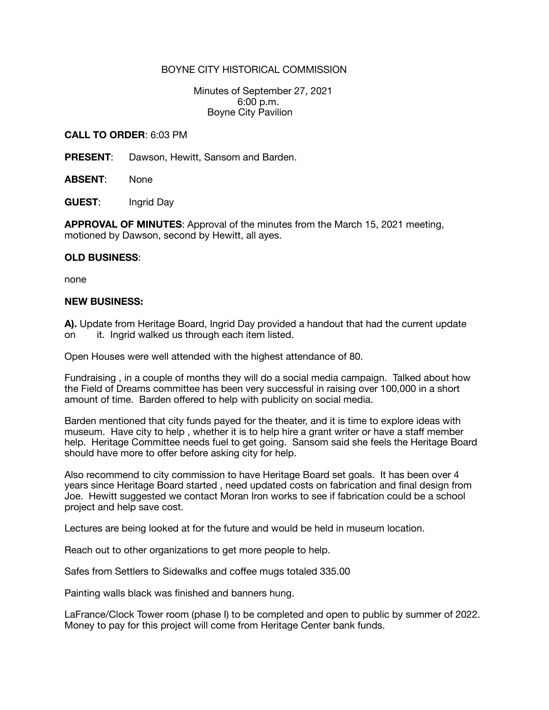## BOYNE CITY HISTORICAL COMMISSION

 Minutes of September 27, 2021 6:00 p.m. Boyne City Pavilion

## **CALL TO ORDER**: 6:03 PM

**PRESENT**: Dawson, Hewitt, Sansom and Barden.

**ABSENT**: None

**GUEST**: Ingrid Day

**APPROVAL OF MINUTES**: Approval of the minutes from the March 15, 2021 meeting, motioned by Dawson, second by Hewitt, all ayes.

## **OLD BUSINESS**:

none

## **NEW BUSINESS:**

**A).** Update from Heritage Board, Ingrid Day provided a handout that had the current update on it. Ingrid walked us through each item listed.

Open Houses were well attended with the highest attendance of 80.

Fundraising , in a couple of months they will do a social media campaign. Talked about how the Field of Dreams committee has been very successful in raising over 100,000 in a short amount of time. Barden offered to help with publicity on social media.

Barden mentioned that city funds payed for the theater, and it is time to explore ideas with museum. Have city to help , whether it is to help hire a grant writer or have a staff member help. Heritage Committee needs fuel to get going. Sansom said she feels the Heritage Board should have more to offer before asking city for help.

Also recommend to city commission to have Heritage Board set goals. It has been over 4 years since Heritage Board started , need updated costs on fabrication and final design from Joe. Hewitt suggested we contact Moran Iron works to see if fabrication could be a school project and help save cost.

Lectures are being looked at for the future and would be held in museum location.

Reach out to other organizations to get more people to help.

Safes from Settlers to Sidewalks and coffee mugs totaled 335.00

Painting walls black was finished and banners hung.

LaFrance/Clock Tower room (phase I) to be completed and open to public by summer of 2022. Money to pay for this project will come from Heritage Center bank funds.